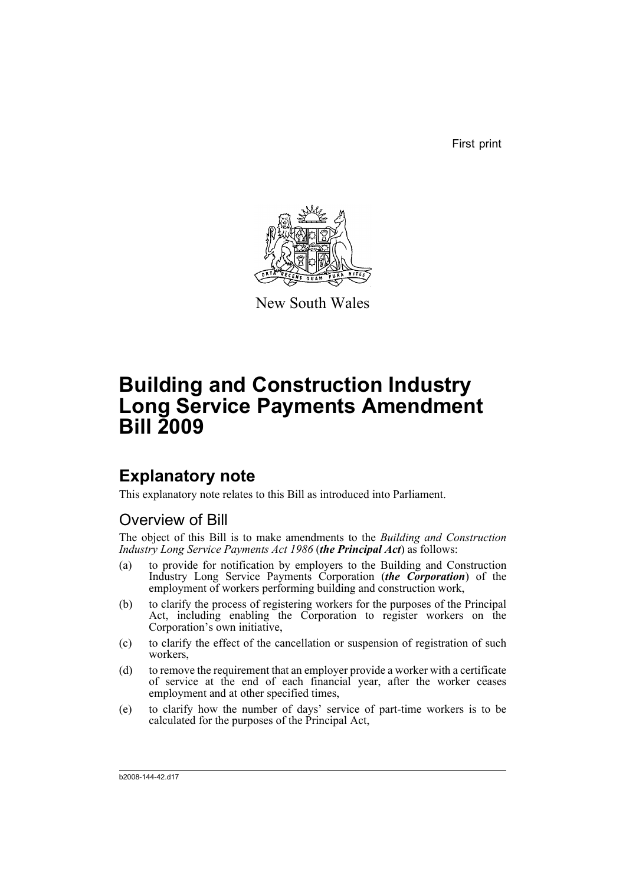First print



New South Wales

# **Building and Construction Industry Long Service Payments Amendment Bill 2009**

## **Explanatory note**

This explanatory note relates to this Bill as introduced into Parliament.

## Overview of Bill

The object of this Bill is to make amendments to the *Building and Construction Industry Long Service Payments Act 1986* (*the Principal Act*) as follows:

- (a) to provide for notification by employers to the Building and Construction Industry Long Service Payments Corporation (*the Corporation*) of the employment of workers performing building and construction work,
- (b) to clarify the process of registering workers for the purposes of the Principal Act, including enabling the Corporation to register workers on the Corporation's own initiative,
- (c) to clarify the effect of the cancellation or suspension of registration of such workers,
- (d) to remove the requirement that an employer provide a worker with a certificate of service at the end of each financial year, after the worker ceases employment and at other specified times,
- (e) to clarify how the number of days' service of part-time workers is to be calculated for the purposes of the Principal Act,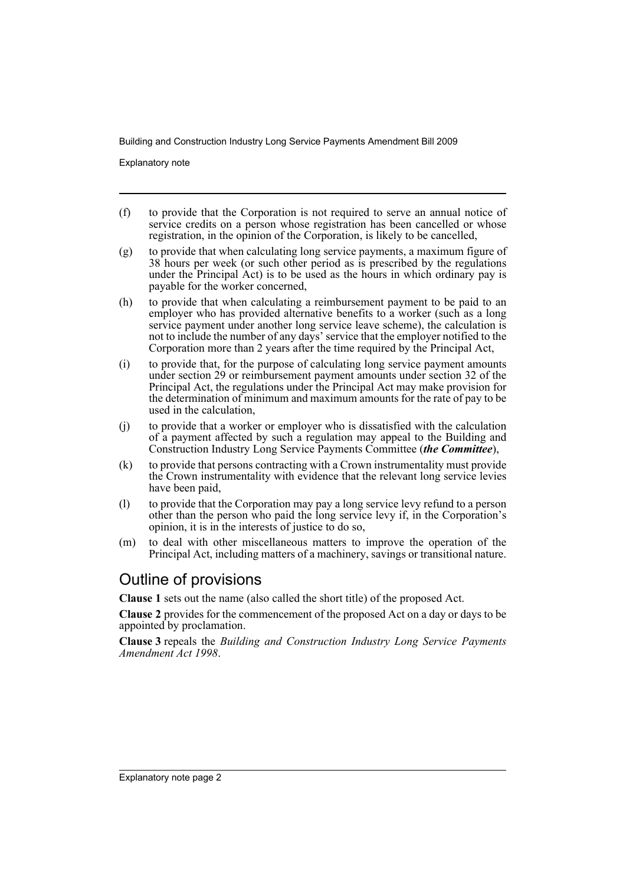Explanatory note

- (f) to provide that the Corporation is not required to serve an annual notice of service credits on a person whose registration has been cancelled or whose registration, in the opinion of the Corporation, is likely to be cancelled,
- (g) to provide that when calculating long service payments, a maximum figure of 38 hours per week (or such other period as is prescribed by the regulations under the Principal Act) is to be used as the hours in which ordinary pay is payable for the worker concerned,
- (h) to provide that when calculating a reimbursement payment to be paid to an employer who has provided alternative benefits to a worker (such as a long service payment under another long service leave scheme), the calculation is not to include the number of any days' service that the employer notified to the Corporation more than 2 years after the time required by the Principal Act,
- (i) to provide that, for the purpose of calculating long service payment amounts under section 29 or reimbursement payment amounts under section 32 of the Principal Act, the regulations under the Principal Act may make provision for the determination of minimum and maximum amounts for the rate of pay to be used in the calculation,
- (j) to provide that a worker or employer who is dissatisfied with the calculation of a payment affected by such a regulation may appeal to the Building and Construction Industry Long Service Payments Committee (*the Committee*),
- (k) to provide that persons contracting with a Crown instrumentality must provide the Crown instrumentality with evidence that the relevant long service levies have been paid,
- (l) to provide that the Corporation may pay a long service levy refund to a person other than the person who paid the long service levy if, in the Corporation's opinion, it is in the interests of justice to do so,
- (m) to deal with other miscellaneous matters to improve the operation of the Principal Act, including matters of a machinery, savings or transitional nature.

## Outline of provisions

**Clause 1** sets out the name (also called the short title) of the proposed Act.

**Clause 2** provides for the commencement of the proposed Act on a day or days to be appointed by proclamation.

**Clause 3** repeals the *Building and Construction Industry Long Service Payments Amendment Act 1998*.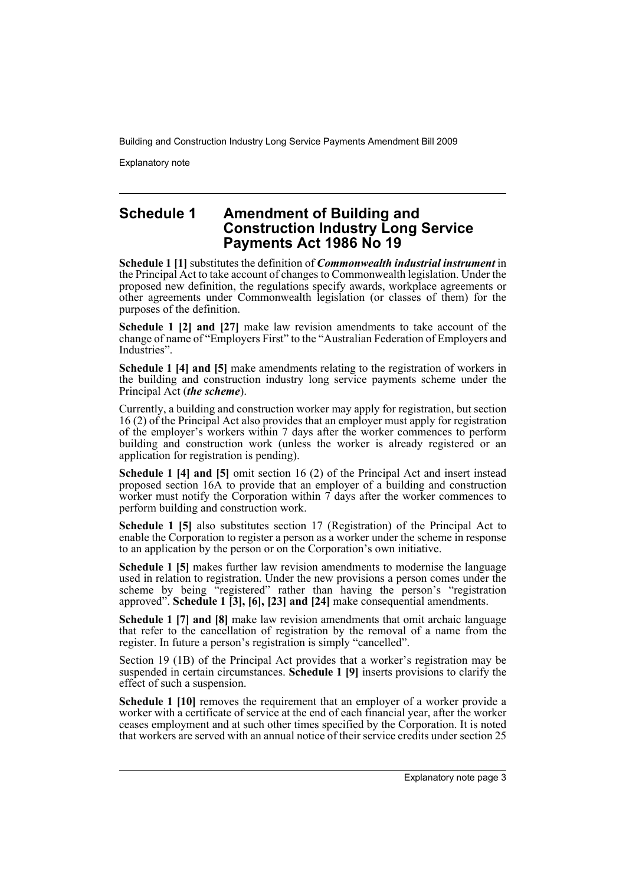Explanatory note

### **Schedule 1 Amendment of Building and Construction Industry Long Service Payments Act 1986 No 19**

**Schedule 1 [1]** substitutes the definition of *Commonwealth industrial instrument* in the Principal Act to take account of changes to Commonwealth legislation. Under the proposed new definition, the regulations specify awards, workplace agreements or other agreements under Commonwealth legislation (or classes of them) for the purposes of the definition.

**Schedule 1 [2] and [27]** make law revision amendments to take account of the change of name of "Employers First" to the "Australian Federation of Employers and Industries".

**Schedule 1 [4] and [5]** make amendments relating to the registration of workers in the building and construction industry long service payments scheme under the Principal Act (*the scheme*).

Currently, a building and construction worker may apply for registration, but section 16 (2) of the Principal Act also provides that an employer must apply for registration of the employer's workers within 7 days after the worker commences to perform building and construction work (unless the worker is already registered or an application for registration is pending).

**Schedule 1 [4] and [5]** omit section 16 (2) of the Principal Act and insert instead proposed section 16A to provide that an employer of a building and construction worker must notify the Corporation within  $\tilde{\tau}$  days after the worker commences to perform building and construction work.

**Schedule 1 [5]** also substitutes section 17 (Registration) of the Principal Act to enable the Corporation to register a person as a worker under the scheme in response to an application by the person or on the Corporation's own initiative.

**Schedule 1 [5]** makes further law revision amendments to modernise the language used in relation to registration. Under the new provisions a person comes under the scheme by being "registered" rather than having the person's "registration" approved". **Schedule 1 [3], [6], [23] and [24]** make consequential amendments.

**Schedule 1 [7] and [8]** make law revision amendments that omit archaic language that refer to the cancellation of registration by the removal of a name from the register. In future a person's registration is simply "cancelled".

Section 19 (1B) of the Principal Act provides that a worker's registration may be suspended in certain circumstances. **Schedule 1 [9]** inserts provisions to clarify the effect of such a suspension.

**Schedule 1 [10]** removes the requirement that an employer of a worker provide a worker with a certificate of service at the end of each financial year, after the worker ceases employment and at such other times specified by the Corporation. It is noted that workers are served with an annual notice of their service credits under section 25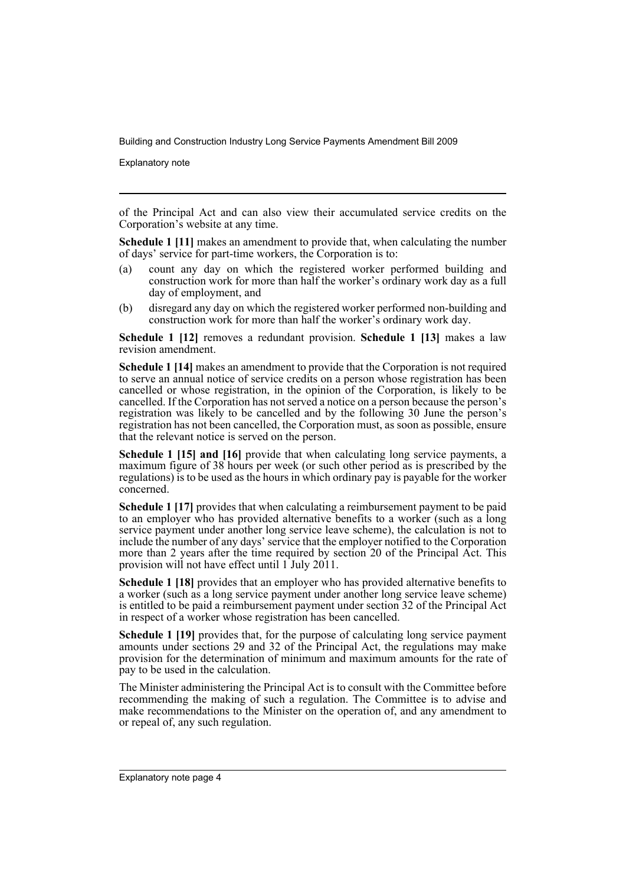Explanatory note

of the Principal Act and can also view their accumulated service credits on the Corporation's website at any time.

**Schedule 1 [11]** makes an amendment to provide that, when calculating the number of days' service for part-time workers, the Corporation is to:

- (a) count any day on which the registered worker performed building and construction work for more than half the worker's ordinary work day as a full day of employment, and
- (b) disregard any day on which the registered worker performed non-building and construction work for more than half the worker's ordinary work day.

**Schedule 1 [12]** removes a redundant provision. **Schedule 1 [13]** makes a law revision amendment.

**Schedule 1 [14]** makes an amendment to provide that the Corporation is not required to serve an annual notice of service credits on a person whose registration has been cancelled or whose registration, in the opinion of the Corporation, is likely to be cancelled. If the Corporation has not served a notice on a person because the person's registration was likely to be cancelled and by the following 30 June the person's registration has not been cancelled, the Corporation must, as soon as possible, ensure that the relevant notice is served on the person.

**Schedule 1 [15] and [16]** provide that when calculating long service payments, a maximum figure of 38 hours per week (or such other period as is prescribed by the regulations) is to be used as the hours in which ordinary pay is payable for the worker concerned.

**Schedule 1 [17]** provides that when calculating a reimbursement payment to be paid to an employer who has provided alternative benefits to a worker (such as a long service payment under another long service leave scheme), the calculation is not to include the number of any days' service that the employer notified to the Corporation more than 2 years after the time required by section 20 of the Principal Act. This provision will not have effect until 1 July 2011.

**Schedule 1 [18]** provides that an employer who has provided alternative benefits to a worker (such as a long service payment under another long service leave scheme) is entitled to be paid a reimbursement payment under section 32 of the Principal Act in respect of a worker whose registration has been cancelled.

**Schedule 1 [19]** provides that, for the purpose of calculating long service payment amounts under sections 29 and 32 of the Principal Act, the regulations may make provision for the determination of minimum and maximum amounts for the rate of pay to be used in the calculation.

The Minister administering the Principal Act is to consult with the Committee before recommending the making of such a regulation. The Committee is to advise and make recommendations to the Minister on the operation of, and any amendment to or repeal of, any such regulation.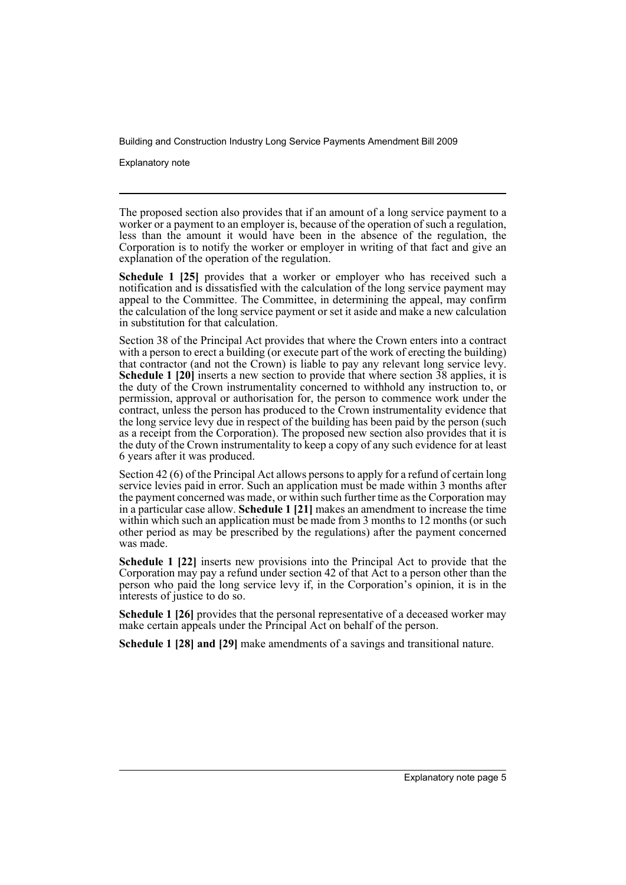Explanatory note

The proposed section also provides that if an amount of a long service payment to a worker or a payment to an employer is, because of the operation of such a regulation, less than the amount it would have been in the absence of the regulation, the Corporation is to notify the worker or employer in writing of that fact and give an explanation of the operation of the regulation.

**Schedule 1 [25]** provides that a worker or employer who has received such a notification and is dissatisfied with the calculation of the long service payment may appeal to the Committee. The Committee, in determining the appeal, may confirm the calculation of the long service payment or set it aside and make a new calculation in substitution for that calculation.

Section 38 of the Principal Act provides that where the Crown enters into a contract with a person to erect a building (or execute part of the work of erecting the building) that contractor (and not the Crown) is liable to pay any relevant long service levy. **Schedule 1 [20]** inserts a new section to provide that where section 38 applies, it is the duty of the Crown instrumentality concerned to withhold any instruction to, or permission, approval or authorisation for, the person to commence work under the contract, unless the person has produced to the Crown instrumentality evidence that the long service levy due in respect of the building has been paid by the person (such as a receipt from the Corporation). The proposed new section also provides that it is the duty of the Crown instrumentality to keep a copy of any such evidence for at least 6 years after it was produced.

Section 42 (6) of the Principal Act allows persons to apply for a refund of certain long service levies paid in error. Such an application must be made within 3 months after the payment concerned was made, or within such further time as the Corporation may in a particular case allow. **Schedule 1 [21]** makes an amendment to increase the time within which such an application must be made from 3 months to 12 months (or such other period as may be prescribed by the regulations) after the payment concerned was made.

**Schedule 1 [22]** inserts new provisions into the Principal Act to provide that the Corporation may pay a refund under section 42 of that Act to a person other than the person who paid the long service levy if, in the Corporation's opinion, it is in the interests of justice to do so.

**Schedule 1 [26]** provides that the personal representative of a deceased worker may make certain appeals under the Principal Act on behalf of the person.

**Schedule 1 [28] and [29]** make amendments of a savings and transitional nature.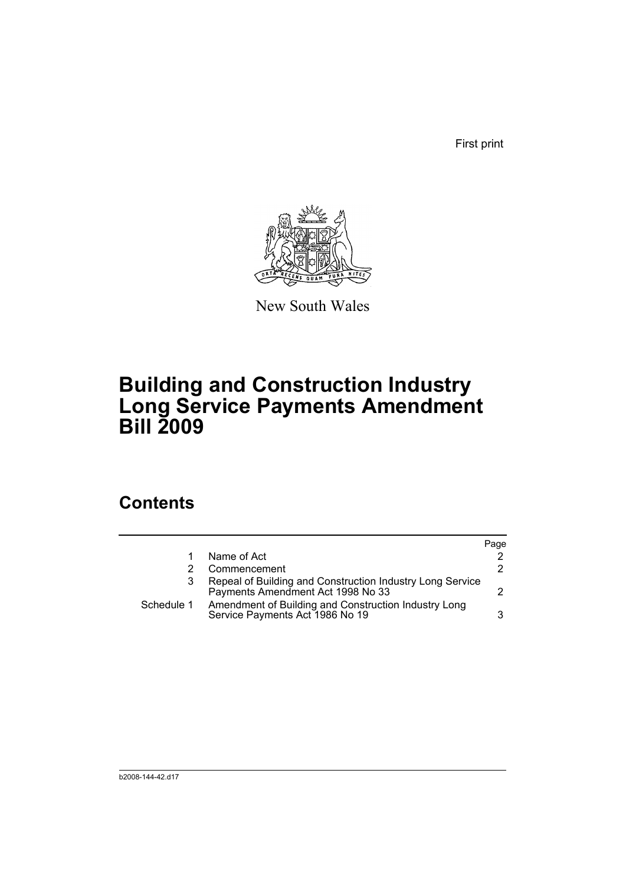First print



New South Wales

# **Building and Construction Industry Long Service Payments Amendment Bill 2009**

## **Contents**

|            |                                                                                                | Page |
|------------|------------------------------------------------------------------------------------------------|------|
|            | Name of Act                                                                                    |      |
|            | Commencement                                                                                   | 2.   |
|            | Repeal of Building and Construction Industry Long Service<br>Payments Amendment Act 1998 No 33 | 2.   |
| Schedule 1 | Amendment of Building and Construction Industry Long<br>Service Payments Act 1986 No 19        | 3    |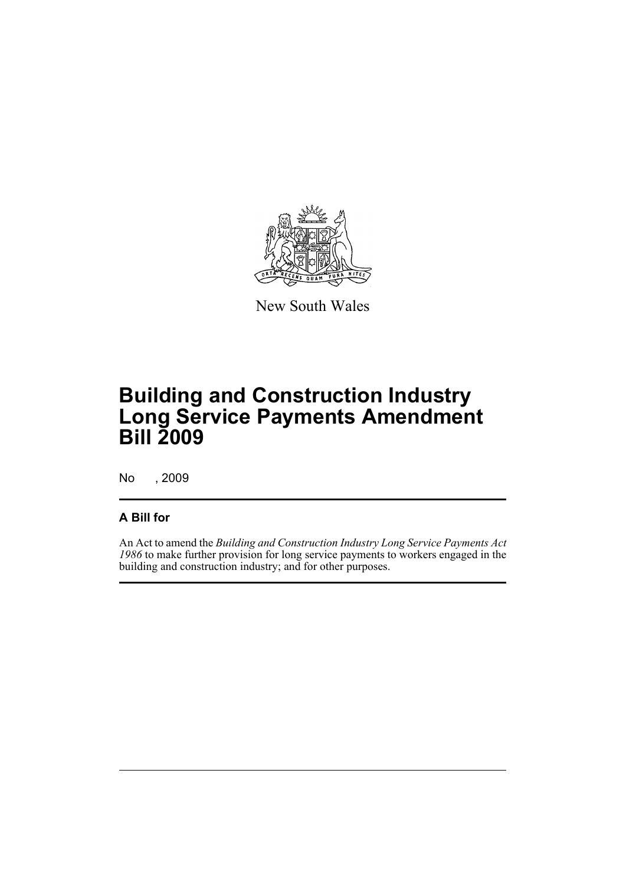

New South Wales

# **Building and Construction Industry Long Service Payments Amendment Bill 2009**

No , 2009

### **A Bill for**

An Act to amend the *Building and Construction Industry Long Service Payments Act 1986* to make further provision for long service payments to workers engaged in the building and construction industry; and for other purposes.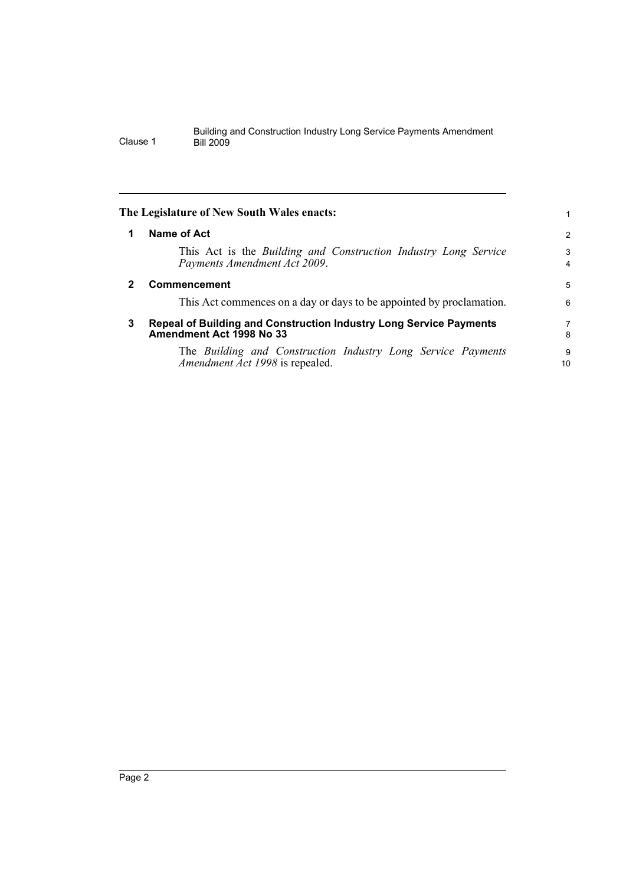<span id="page-9-2"></span><span id="page-9-1"></span><span id="page-9-0"></span>

|              | The Legislature of New South Wales enacts:                                                             |         |
|--------------|--------------------------------------------------------------------------------------------------------|---------|
| 1            | Name of Act                                                                                            | 2       |
|              | This Act is the Building and Construction Industry Long Service<br>Payments Amendment Act 2009.        | 3<br>4  |
| $\mathbf{2}$ | Commencement                                                                                           | 5       |
|              | This Act commences on a day or days to be appointed by proclamation.                                   | 6       |
| 3            | Repeal of Building and Construction Industry Long Service Payments<br>Amendment Act 1998 No 33         | 7<br>8  |
|              | The Building and Construction Industry Long Service Payments<br><i>Amendment Act 1998</i> is repealed. | 9<br>10 |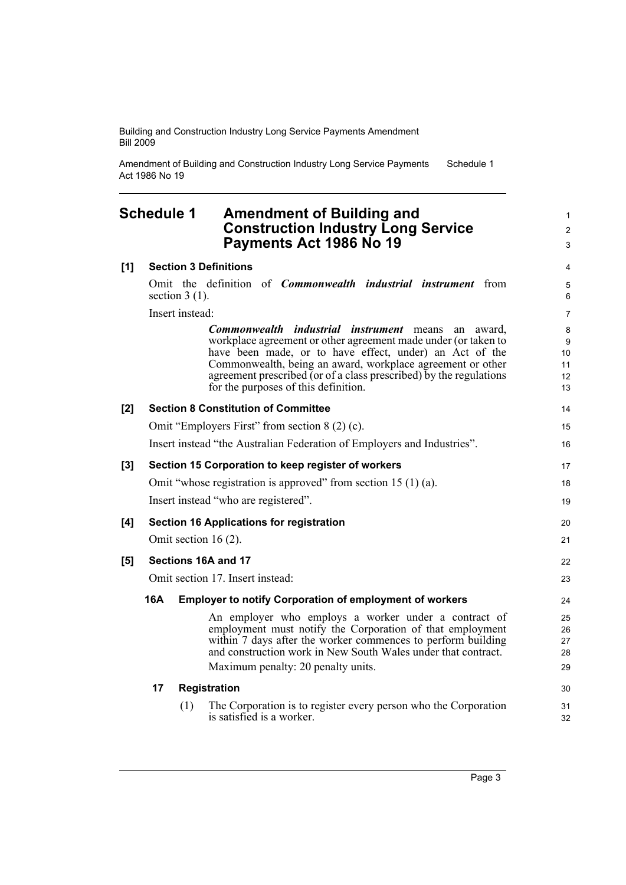is satisfied is a worker.

Amendment of Building and Construction Industry Long Service Payments Act 1986 No 19 Schedule 1

### <span id="page-10-0"></span>**Schedule 1 Amendment of Building and Construction Industry Long Service Payments Act 1986 No 19**

|     | Payments Act 1986 No 19                                                                                                                                                                                                                                                                                                                                              | 3                              |  |
|-----|----------------------------------------------------------------------------------------------------------------------------------------------------------------------------------------------------------------------------------------------------------------------------------------------------------------------------------------------------------------------|--------------------------------|--|
| [1] | <b>Section 3 Definitions</b>                                                                                                                                                                                                                                                                                                                                         | 4                              |  |
|     | Omit the definition of <i>Commonwealth industrial instrument</i> from<br>section $3(1)$ .                                                                                                                                                                                                                                                                            | $\mathbf 5$<br>6               |  |
|     | Insert instead:                                                                                                                                                                                                                                                                                                                                                      | $\overline{7}$                 |  |
|     | Commonwealth industrial instrument<br>means<br>an<br>award.<br>workplace agreement or other agreement made under (or taken to<br>have been made, or to have effect, under) an Act of the<br>Commonwealth, being an award, workplace agreement or other<br>agreement prescribed (or of a class prescribed) by the regulations<br>for the purposes of this definition. | 8<br>9<br>10<br>11<br>12<br>13 |  |
| [2] | <b>Section 8 Constitution of Committee</b>                                                                                                                                                                                                                                                                                                                           | 14                             |  |
|     | Omit "Employers First" from section 8 (2) (c).                                                                                                                                                                                                                                                                                                                       | 15                             |  |
|     | Insert instead "the Australian Federation of Employers and Industries".                                                                                                                                                                                                                                                                                              | 16                             |  |
| [3] | Section 15 Corporation to keep register of workers                                                                                                                                                                                                                                                                                                                   | 17                             |  |
|     | Omit "whose registration is approved" from section 15 $(1)$ (a).                                                                                                                                                                                                                                                                                                     | 18                             |  |
|     | Insert instead "who are registered".                                                                                                                                                                                                                                                                                                                                 | 19                             |  |
| [4] | <b>Section 16 Applications for registration</b>                                                                                                                                                                                                                                                                                                                      | 20                             |  |
|     | Omit section 16 $(2)$ .                                                                                                                                                                                                                                                                                                                                              | 21                             |  |
| [5] | Sections 16A and 17                                                                                                                                                                                                                                                                                                                                                  | 22                             |  |
|     | Omit section 17. Insert instead:                                                                                                                                                                                                                                                                                                                                     |                                |  |
|     | 16A<br><b>Employer to notify Corporation of employment of workers</b>                                                                                                                                                                                                                                                                                                | 24                             |  |
|     | An employer who employs a worker under a contract of<br>employment must notify the Corporation of that employment<br>within 7 days after the worker commences to perform building<br>and construction work in New South Wales under that contract.                                                                                                                   | 25<br>26<br>27<br>28           |  |
|     | Maximum penalty: 20 penalty units.                                                                                                                                                                                                                                                                                                                                   | 29                             |  |
|     | 17<br>Registration                                                                                                                                                                                                                                                                                                                                                   | 30                             |  |
|     | The Corporation is to register every person who the Corporation<br>(1)                                                                                                                                                                                                                                                                                               | 31                             |  |

32

1 2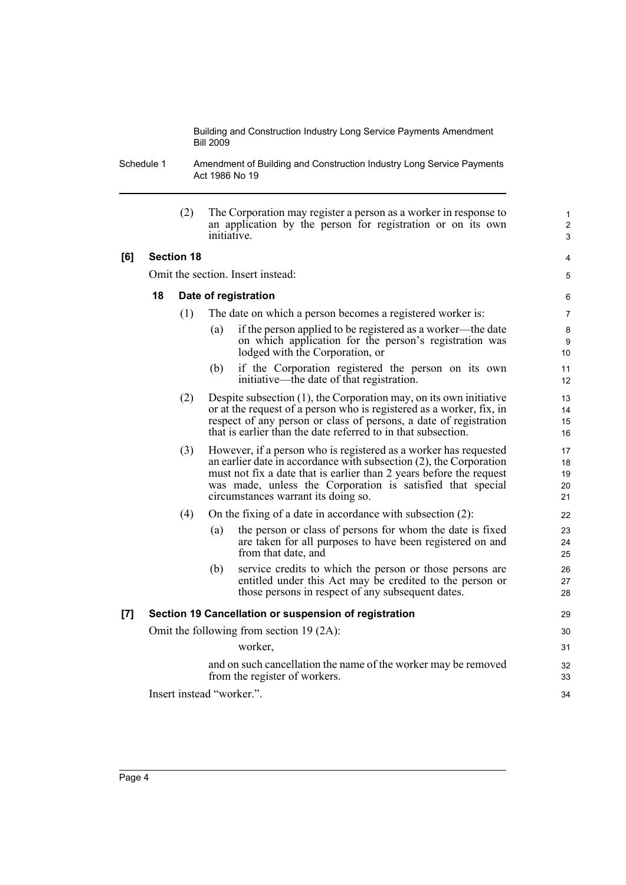Schedule 1 Amendment of Building and Construction Industry Long Service Payments Act 1986 No 19

|     |                                                       | (2)               | The Corporation may register a person as a worker in response to<br>an application by the person for registration or on its own<br>initiative.                                                                                                                                                                     | 1<br>$\overline{\mathbf{c}}$<br>3 |  |
|-----|-------------------------------------------------------|-------------------|--------------------------------------------------------------------------------------------------------------------------------------------------------------------------------------------------------------------------------------------------------------------------------------------------------------------|-----------------------------------|--|
| [6] |                                                       | <b>Section 18</b> |                                                                                                                                                                                                                                                                                                                    | 4                                 |  |
|     |                                                       |                   | Omit the section. Insert instead:                                                                                                                                                                                                                                                                                  | 5                                 |  |
|     | 18                                                    |                   | Date of registration                                                                                                                                                                                                                                                                                               | 6                                 |  |
|     |                                                       | (1)               | The date on which a person becomes a registered worker is:                                                                                                                                                                                                                                                         | 7                                 |  |
|     |                                                       |                   | if the person applied to be registered as a worker—the date<br>(a)<br>on which application for the person's registration was<br>lodged with the Corporation, or                                                                                                                                                    | 8<br>9<br>10                      |  |
|     |                                                       |                   | if the Corporation registered the person on its own<br>(b)<br>initiative—the date of that registration.                                                                                                                                                                                                            | 11<br>12                          |  |
|     |                                                       | (2)               | Despite subsection $(1)$ , the Corporation may, on its own initiative<br>or at the request of a person who is registered as a worker, fix, in<br>respect of any person or class of persons, a date of registration<br>that is earlier than the date referred to in that subsection.                                | 13<br>14<br>15<br>16              |  |
|     |                                                       | (3)               | However, if a person who is registered as a worker has requested<br>an earlier date in accordance with subsection (2), the Corporation<br>must not fix a date that is earlier than 2 years before the request<br>was made, unless the Corporation is satisfied that special<br>circumstances warrant its doing so. | 17<br>18<br>19<br>20<br>21        |  |
|     |                                                       | (4)               | On the fixing of a date in accordance with subsection (2):                                                                                                                                                                                                                                                         | 22                                |  |
|     |                                                       |                   | the person or class of persons for whom the date is fixed<br>(a)<br>are taken for all purposes to have been registered on and<br>from that date, and                                                                                                                                                               | 23<br>24<br>25                    |  |
|     |                                                       |                   | service credits to which the person or those persons are<br>(b)<br>entitled under this Act may be credited to the person or<br>those persons in respect of any subsequent dates.                                                                                                                                   | 26<br>27<br>28                    |  |
| [7] | Section 19 Cancellation or suspension of registration |                   |                                                                                                                                                                                                                                                                                                                    |                                   |  |
|     |                                                       |                   | Omit the following from section 19 $(2A)$ :                                                                                                                                                                                                                                                                        | 30                                |  |
|     |                                                       |                   | worker,                                                                                                                                                                                                                                                                                                            | 31                                |  |
|     |                                                       |                   | and on such cancellation the name of the worker may be removed<br>from the register of workers.                                                                                                                                                                                                                    | 32<br>33                          |  |
|     |                                                       |                   | Insert instead "worker.".                                                                                                                                                                                                                                                                                          | 34                                |  |
|     |                                                       |                   |                                                                                                                                                                                                                                                                                                                    |                                   |  |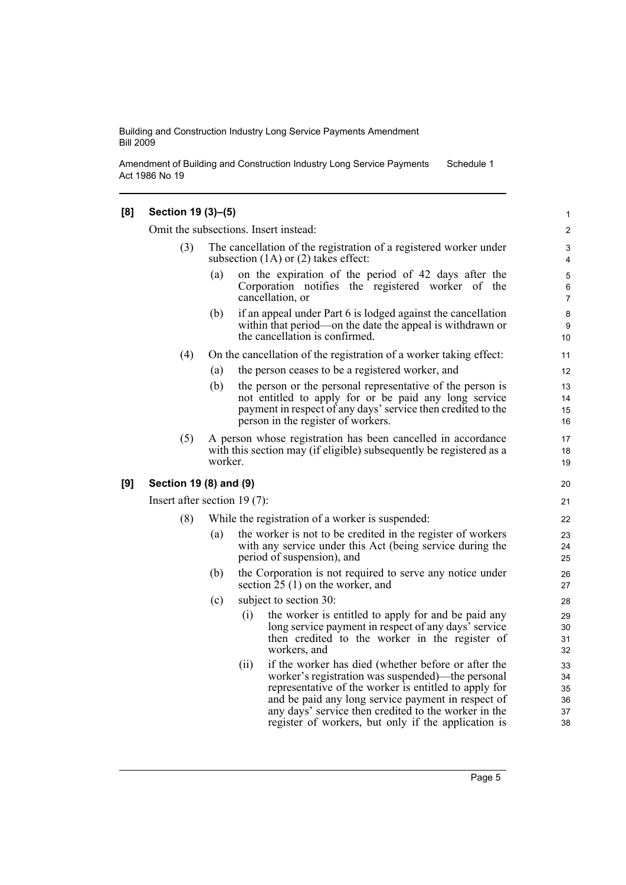Amendment of Building and Construction Industry Long Service Payments Act 1986 No 19 Schedule 1

#### **[8] Section 19 (3)–(5)**

Omit the subsections. Insert instead:

- The cancellation of the registration of a registered worker under subsection (1A) or (2) takes effect:
	- (a) on the expiration of the period of 42 days after the Corporation notifies the registered worker of the cancellation, or
	- (b) if an appeal under Part 6 is lodged against the cancellation within that period—on the date the appeal is withdrawn or the cancellation is confirmed.
- (4) On the cancellation of the registration of a worker taking effect:
	- (a) the person ceases to be a registered worker, and
	- (b) the person or the personal representative of the person is not entitled to apply for or be paid any long service payment in respect of any days' service then credited to the person in the register of workers.
- (5) A person whose registration has been cancelled in accordance with this section may (if eligible) subsequently be registered as a worker.

#### **[9] Section 19 (8) and (9)**

Insert after section 19 (7):

- (8) While the registration of a worker is suspended:
	- (a) the worker is not to be credited in the register of workers with any service under this Act (being service during the period of suspension), and
	- (b) the Corporation is not required to serve any notice under section 25 (1) on the worker, and
	- (c) subject to section 30:
		- (i) the worker is entitled to apply for and be paid any long service payment in respect of any days' service then credited to the worker in the register of workers, and
		- (ii) if the worker has died (whether before or after the worker's registration was suspended)—the personal representative of the worker is entitled to apply for and be paid any long service payment in respect of any days' service then credited to the worker in the register of workers, but only if the application is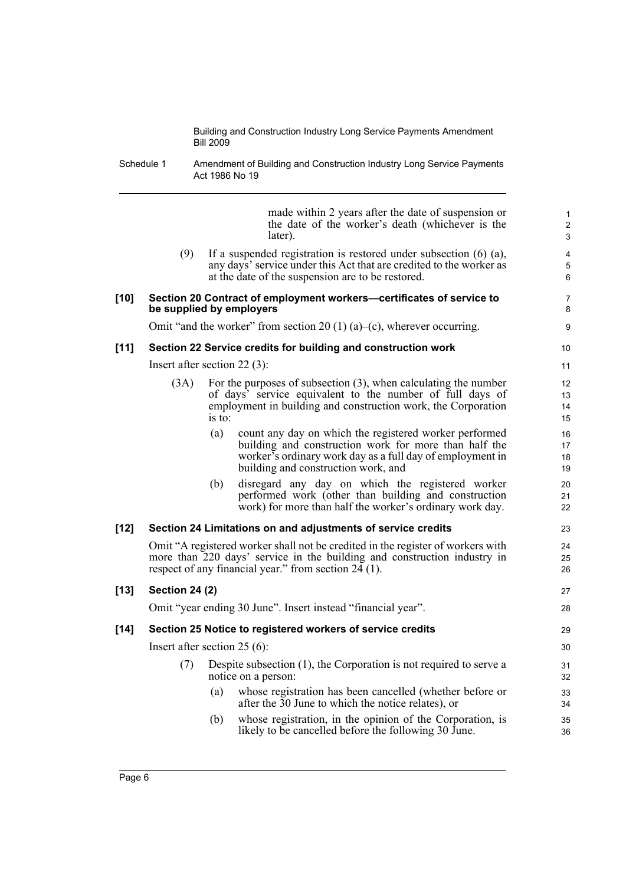Schedule 1 Amendment of Building and Construction Industry Long Service Payments Act 1986 No 19

made within 2 years after the date of suspension or the date of the worker's death (whichever is the later). (9) If a suspended registration is restored under subsection (6) (a), any days' service under this Act that are credited to the worker as at the date of the suspension are to be restored. **[10] Section 20 Contract of employment workers—certificates of service to be supplied by employers** Omit "and the worker" from section 20 (1) (a)–(c), wherever occurring. **[11] Section 22 Service credits for building and construction work** Insert after section 22 (3): (3A) For the purposes of subsection (3), when calculating the number of days' service equivalent to the number of full days of employment in building and construction work, the Corporation is to: (a) count any day on which the registered worker performed building and construction work for more than half the worker's ordinary work day as a full day of employment in building and construction work, and (b) disregard any day on which the registered worker performed work (other than building and construction work) for more than half the worker's ordinary work day. **[12] Section 24 Limitations on and adjustments of service credits** Omit "A registered worker shall not be credited in the register of workers with more than 220 days' service in the building and construction industry in respect of any financial year." from section  $24(1)$ . **[13] Section 24 (2)** Omit "year ending 30 June". Insert instead "financial year". **[14] Section 25 Notice to registered workers of service credits** Insert after section 25 (6): (7) Despite subsection (1), the Corporation is not required to serve a notice on a person: (a) whose registration has been cancelled (whether before or after the 30 June to which the notice relates), or (b) whose registration, in the opinion of the Corporation, is likely to be cancelled before the following 30 June. 10 11 12 13 14 15 16 17 18 19 20 21 22 23  $24$ 25 26 27 28 29 30 31 32 33 34 35 36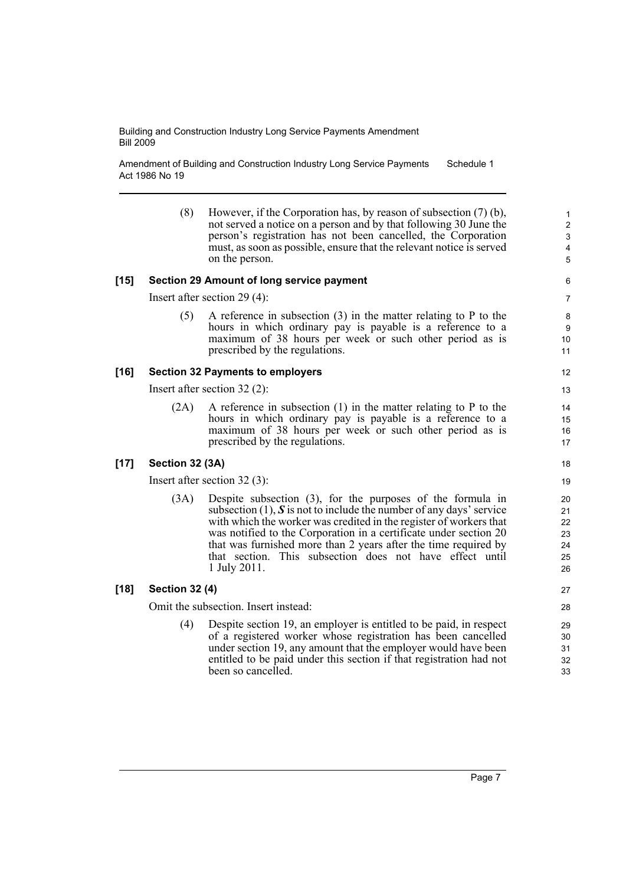Amendment of Building and Construction Industry Long Service Payments Act 1986 No 19 Schedule 1

| (8) | However, if the Corporation has, by reason of subsection (7) (b),    |
|-----|----------------------------------------------------------------------|
|     | not served a notice on a person and by that following 30 June the    |
|     | person's registration has not been cancelled, the Corporation        |
|     | must, as soon as possible, ensure that the relevant notice is served |
|     | on the person.                                                       |

#### **[15] Section 29 Amount of long service payment**

Insert after section 29 (4):

(5) A reference in subsection (3) in the matter relating to P to the hours in which ordinary pay is payable is a reference to a maximum of 38 hours per week or such other period as is prescribed by the regulations.

#### **[16] Section 32 Payments to employers**

Insert after section 32 (2):

(2A) A reference in subsection (1) in the matter relating to P to the hours in which ordinary pay is payable is a reference to a maximum of 38 hours per week or such other period as is prescribed by the regulations.

#### **[17] Section 32 (3A)**

Insert after section 32 (3):

(3A) Despite subsection (3), for the purposes of the formula in subsection (1), *S* is not to include the number of any days' service with which the worker was credited in the register of workers that was notified to the Corporation in a certificate under section 20 that was furnished more than 2 years after the time required by that section. This subsection does not have effect until 1 July 2011.

#### **[18] Section 32 (4)**

Omit the subsection. Insert instead:

(4) Despite section 19, an employer is entitled to be paid, in respect of a registered worker whose registration has been cancelled under section 19, any amount that the employer would have been entitled to be paid under this section if that registration had not been so cancelled.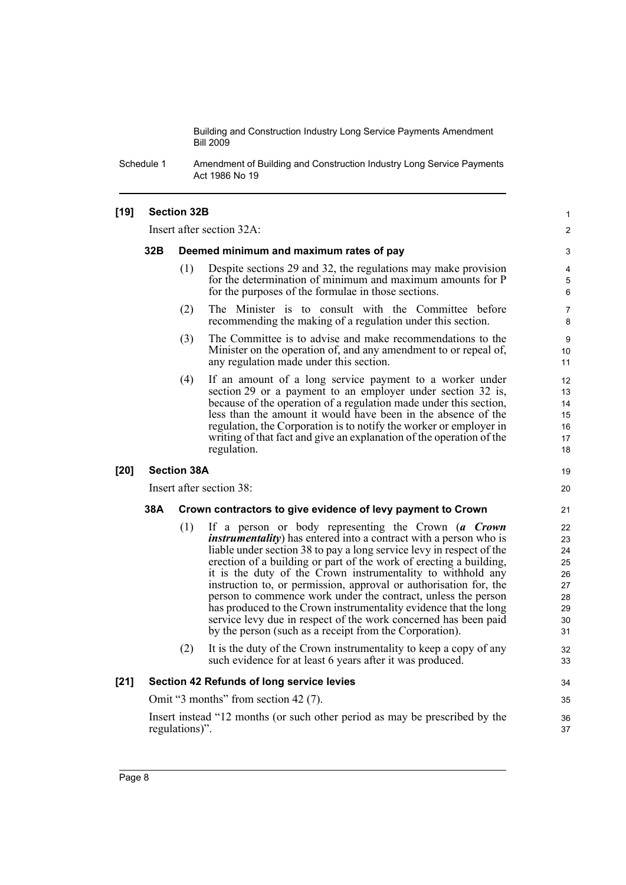Schedule 1 Amendment of Building and Construction Industry Long Service Payments Act 1986 No 19

#### **[19] Section 32B**

Insert after section 32A:

#### **32B Deemed minimum and maximum rates of pay**

(1) Despite sections 29 and 32, the regulations may make provision for the determination of minimum and maximum amounts for P for the purposes of the formulae in those sections.

1  $\mathfrak{p}$ 

19 20

- (2) The Minister is to consult with the Committee before recommending the making of a regulation under this section.
- (3) The Committee is to advise and make recommendations to the Minister on the operation of, and any amendment to or repeal of, any regulation made under this section.
- (4) If an amount of a long service payment to a worker under section 29 or a payment to an employer under section 32 is, because of the operation of a regulation made under this section, less than the amount it would have been in the absence of the regulation, the Corporation is to notify the worker or employer in writing of that fact and give an explanation of the operation of the regulation.

#### **[20] Section 38A**

Insert after section 38:

#### **38A Crown contractors to give evidence of levy payment to Crown**

- (1) If a person or body representing the Crown (*a Crown instrumentality*) has entered into a contract with a person who is liable under section 38 to pay a long service levy in respect of the erection of a building or part of the work of erecting a building, it is the duty of the Crown instrumentality to withhold any instruction to, or permission, approval or authorisation for, the person to commence work under the contract, unless the person has produced to the Crown instrumentality evidence that the long service levy due in respect of the work concerned has been paid by the person (such as a receipt from the Corporation).
- (2) It is the duty of the Crown instrumentality to keep a copy of any such evidence for at least 6 years after it was produced.

#### **[21] Section 42 Refunds of long service levies**

Omit "3 months" from section 42 (7).

Insert instead "12 months (or such other period as may be prescribed by the regulations)".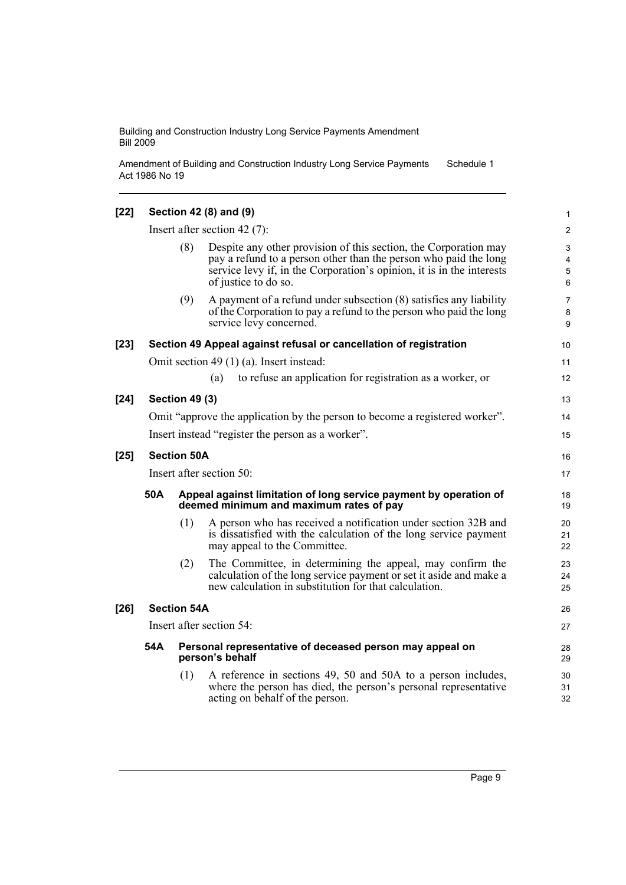Amendment of Building and Construction Industry Long Service Payments Act 1986 No 19 Schedule 1

| $[22]$ |                                                                                    |                       | Section 42 (8) and (9)                                                                                                                                                                                                                | $\mathbf{1}$                |
|--------|------------------------------------------------------------------------------------|-----------------------|---------------------------------------------------------------------------------------------------------------------------------------------------------------------------------------------------------------------------------------|-----------------------------|
|        |                                                                                    |                       | Insert after section 42 $(7)$ :                                                                                                                                                                                                       | $\overline{2}$              |
|        |                                                                                    | (8)                   | Despite any other provision of this section, the Corporation may<br>pay a refund to a person other than the person who paid the long<br>service levy if, in the Corporation's opinion, it is in the interests<br>of justice to do so. | $\mathbf{3}$<br>4<br>5<br>6 |
|        |                                                                                    | (9)                   | A payment of a refund under subsection (8) satisfies any liability<br>of the Corporation to pay a refund to the person who paid the long<br>service levy concerned.                                                                   | 7<br>8<br>9                 |
| $[23]$ |                                                                                    |                       | Section 49 Appeal against refusal or cancellation of registration                                                                                                                                                                     | 10                          |
|        |                                                                                    |                       | Omit section 49 $(1)$ (a). Insert instead:                                                                                                                                                                                            | 11                          |
|        |                                                                                    |                       | to refuse an application for registration as a worker, or<br>(a)                                                                                                                                                                      | 12                          |
| $[24]$ |                                                                                    | <b>Section 49 (3)</b> |                                                                                                                                                                                                                                       | 13                          |
|        |                                                                                    |                       | Omit "approve the application by the person to become a registered worker".                                                                                                                                                           | 14                          |
|        |                                                                                    |                       | Insert instead "register the person as a worker".                                                                                                                                                                                     | 15                          |
| $[25]$ |                                                                                    | <b>Section 50A</b>    |                                                                                                                                                                                                                                       | 16                          |
|        | Insert after section 50:                                                           |                       |                                                                                                                                                                                                                                       |                             |
|        | 50A                                                                                |                       | Appeal against limitation of long service payment by operation of<br>deemed minimum and maximum rates of pay                                                                                                                          | 18<br>19                    |
|        |                                                                                    | (1)                   | A person who has received a notification under section 32B and<br>is dissatisfied with the calculation of the long service payment<br>may appeal to the Committee.                                                                    | 20<br>21<br>22              |
|        |                                                                                    | (2)                   | The Committee, in determining the appeal, may confirm the<br>calculation of the long service payment or set it aside and make a<br>new calculation in substitution for that calculation.                                              | 23<br>24<br>25              |
| $[26]$ |                                                                                    | <b>Section 54A</b>    |                                                                                                                                                                                                                                       | 26                          |
|        | Insert after section 54:                                                           |                       |                                                                                                                                                                                                                                       | 27                          |
|        | 54A<br>Personal representative of deceased person may appeal on<br>person's behalf |                       |                                                                                                                                                                                                                                       | 28<br>29                    |
|        |                                                                                    | (1)                   | A reference in sections 49, 50 and 50A to a person includes,<br>where the person has died, the person's personal representative<br>acting on behalf of the person.                                                                    | 30<br>31<br>32              |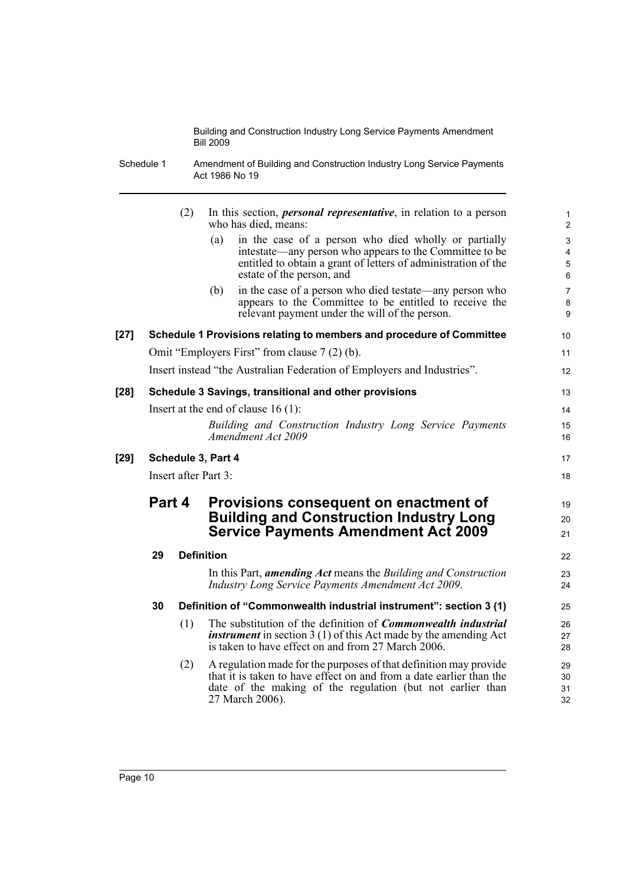Schedule 1 Amendment of Building and Construction Industry Long Service Payments Act 1986 No 19

|      |                                                                                                   | (2) | In this section, <i>personal representative</i> , in relation to a person<br>who has died, means:                                                                                                                         | $\mathbf{1}$<br>$\overline{2}$           |
|------|---------------------------------------------------------------------------------------------------|-----|---------------------------------------------------------------------------------------------------------------------------------------------------------------------------------------------------------------------------|------------------------------------------|
|      |                                                                                                   |     | in the case of a person who died wholly or partially<br>(a)<br>intestate—any person who appears to the Committee to be<br>entitled to obtain a grant of letters of administration of the<br>estate of the person, and     | $\ensuremath{\mathsf{3}}$<br>4<br>5<br>6 |
|      |                                                                                                   |     | in the case of a person who died testate—any person who<br>(b)<br>appears to the Committee to be entitled to receive the<br>relevant payment under the will of the person.                                                | $\overline{7}$<br>8<br>9                 |
| [27] |                                                                                                   |     | Schedule 1 Provisions relating to members and procedure of Committee                                                                                                                                                      | 10                                       |
|      |                                                                                                   |     | Omit "Employers First" from clause 7 (2) (b).                                                                                                                                                                             | 11                                       |
|      |                                                                                                   |     | Insert instead "the Australian Federation of Employers and Industries".                                                                                                                                                   | 12                                       |
| [28] |                                                                                                   |     | Schedule 3 Savings, transitional and other provisions                                                                                                                                                                     | 13                                       |
|      |                                                                                                   |     | Insert at the end of clause $16(1)$ :                                                                                                                                                                                     | 14                                       |
|      |                                                                                                   |     | Building and Construction Industry Long Service Payments<br>Amendment Act 2009                                                                                                                                            | 15<br>16                                 |
| [29] |                                                                                                   |     | Schedule 3, Part 4                                                                                                                                                                                                        | 17                                       |
|      |                                                                                                   |     | Insert after Part 3:                                                                                                                                                                                                      | 18                                       |
|      | Part 4<br>Provisions consequent on enactment of<br><b>Building and Construction Industry Long</b> |     | 19                                                                                                                                                                                                                        |                                          |
|      |                                                                                                   |     |                                                                                                                                                                                                                           | 20                                       |
|      |                                                                                                   |     | <b>Service Payments Amendment Act 2009</b>                                                                                                                                                                                | 21                                       |
|      | 29                                                                                                |     | <b>Definition</b>                                                                                                                                                                                                         | 22                                       |
|      |                                                                                                   |     | In this Part, <i>amending Act</i> means the <i>Building and Construction</i><br><b>Industry Long Service Payments Amendment Act 2009.</b>                                                                                 | 23<br>24                                 |
|      | 30                                                                                                |     | Definition of "Commonwealth industrial instrument": section 3 (1)                                                                                                                                                         | 25                                       |
|      |                                                                                                   | (1) | The substitution of the definition of <i>Commonwealth industrial</i><br><i>instrument</i> in section $3(1)$ of this Act made by the amending Act<br>is taken to have effect on and from 27 March 2006.                    | 26<br>27<br>28                           |
|      |                                                                                                   | (2) | A regulation made for the purposes of that definition may provide<br>that it is taken to have effect on and from a date earlier than the<br>date of the making of the regulation (but not earlier than<br>27 March 2006). | 29<br>30<br>31<br>32                     |
|      |                                                                                                   |     |                                                                                                                                                                                                                           |                                          |